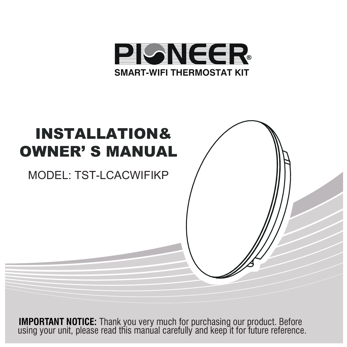



**IMPORTANT NOTICE:** Thank you very much for purchasing our product. Before using your unit, please read this manual carefully and keep it for future reference.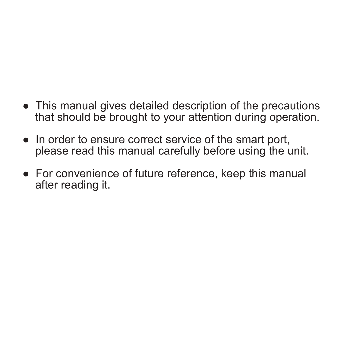- This manual gives detailed description of the precautions that should be brought to your attention during operation.
- In order to ensure correct service of the smart port, please read this manual carefully before using the unit.
- For convenience of future reference, keep this manual after reading it.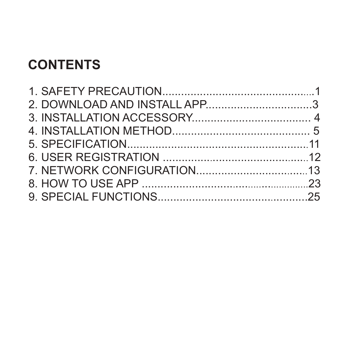#### **CONTENTS**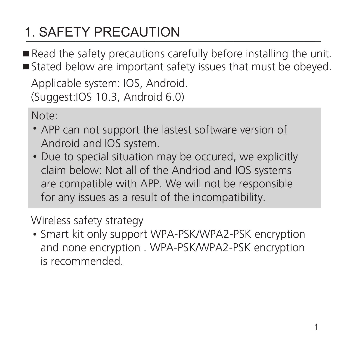# 1. SAFETY PRECAUTION

Read the safety precautions carefully before installing the unit. ■ Stated below are important safety issues that must be obeyed.

Applicable system: IOS, Android. (Suggest:IOS 10.3, Android 6.0)

Note:

- APP can not support the lastest software version of Android and IOS system.
- Due to special situation may be occured, we explicitly claim below: Not all of the Andriod and IOS systems are compatible with APP. We will not be responsible for any issues as a result of the incompatibility.

#### Wireless safety strategy

• Smart kit only support WPA-PSK/WPA2-PSK encryption and none encryption . WPA-PSK/WPA2-PSK encryption is recommended.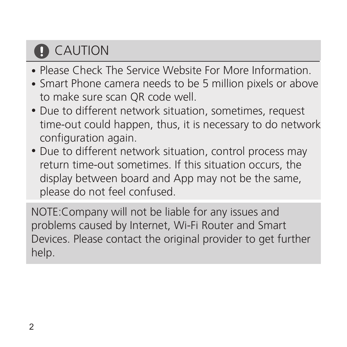# **D** CAUTION

- Please Check The Service Website For More Information.
- Smart Phone camera needs to be 5 million pixels or above to make sure scan QR code well.
- Due to different network situation, sometimes, request time-out could happen, thus, it is necessary to do network configuration again.
- Due to different network situation, control process may return time-out sometimes. If this situation occurs, the display between board and App may not be the same, please do not feel confused.

NOTE:Company will not be liable for any issues and problems caused by Internet, Wi-Fi Router and Smart Devices. Please contact the original provider to get further help.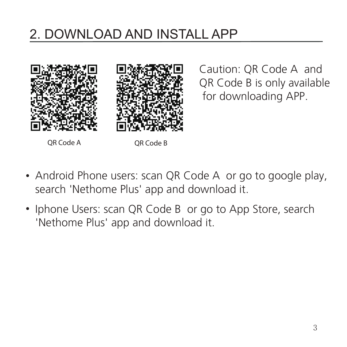#### 2. DOWNLOAD AND INSTALL APP



Caution: QR Code A and QR Code B is only available for downloading APP.

OR Code A QR Code B

- Android Phone users: scan QR Code A or go to google play, search 'Nethome Plus' app and download it.
- Iphone Users: scan QR Code B or go to App Store, search 'Nethome Plus' app and download it.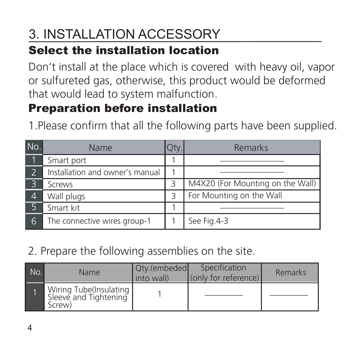# 3. INSTALLATION ACCESSORY

#### Select the installation location

Don't install at the place which is covered with heavy oil, vapor or sulfureted gas, otherwise, this product would be deformed that would lead to system malfunction.

#### Preparation before installation

1.Please confirm that all the following parts have been supplied.

| No. | Name                            | Jty. | Remarks                          |
|-----|---------------------------------|------|----------------------------------|
|     | Smart port                      |      |                                  |
|     | Installation and owner's manual |      |                                  |
| 3   | Screws                          | Β    | M4X20 (For Mounting on the Wall) |
| 4   | Wall plugs                      | 3    | For Mounting on the Wall         |
|     | Smart kit                       |      |                                  |
| 6   | The connective wires group-1    |      | See Fig.4-3                      |

#### 2. Prepare the following assemblies on the site.

| No. | <b>Name</b>                                               | Qty.(embeded<br>into wall) | Specification<br>(only for reference) | Remarks |
|-----|-----------------------------------------------------------|----------------------------|---------------------------------------|---------|
|     | Wiring Tube(Insulating<br>Sleeve and Tightening<br>Screw) |                            |                                       |         |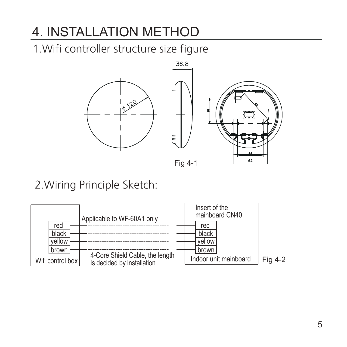1.Wifi controller structure size figure



Fig 4-1

#### 2.Wiring Principle Sketch:

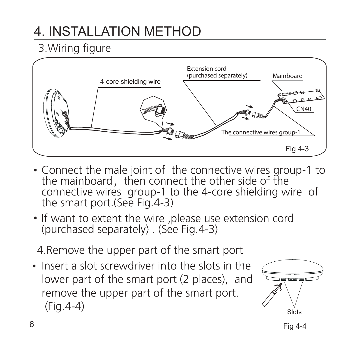#### 3.Wiring figure



- Connect the male joint of the connective wires group-1 to the mainboard, then connect the other side of the connective wires group-1 to the 4-core shielding wire of the smart port.(See Fig.4-3)
- If want to extent the wire ,please use extension cord (purchased separately) . (See Fig.4-3)

4.Remove the upper part of the smart port

• Insert a slot screwdriver into the slots in the lower part of the smart port (2 places), and remove the upper part of the smart port. (Fig.4-4)

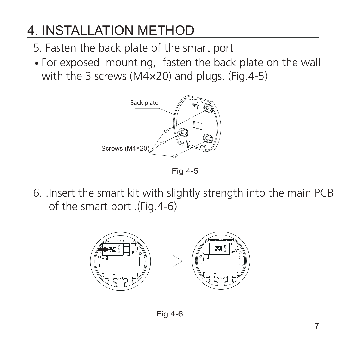- 5. Fasten the back plate of the smart port
- For exposed mounting, fasten the back plate on the wall with the 3 screws (M4×20) and plugs. (Fig.4-5)



Fig 4-5

6. .Insert the smart kit with slightly strength into the main PCB of the smart port .(Fig.4-6)



Fig 4-6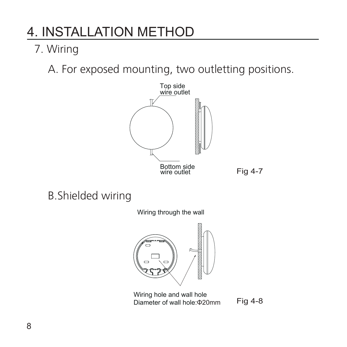#### 7. Wiring

A. For exposed mounting, two outletting positions.



#### B.Shielded wiring

Wiring through the wall



Wiring hole and wall hole Diameter of wall hole:Φ20mm

Fig 4-8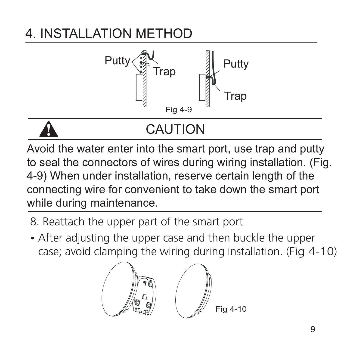

# CAUTION

Avoid the water enter into the smart port, use trap and putty to seal the connectors of wires during wiring installation. (Fig. 4-9) When under installation, reserve certain length of the connecting wire for convenient to take down the smart port while during maintenance.

- 8. Reattach the upper part of the smart port
- After adjusting the upper case and then buckle the upper case; avoid clamping the wiring during installation. (Fig 4-10)

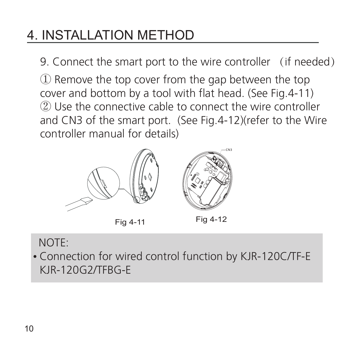9. Connect the smart port to the wire controller (if needed) ① Remove the top cover from the gap between the top cover and bottom by a tool with flat head. (See Fig.4-11) ② Use the connective cable to connect the wire controller and CN3 of the smart port. (See Fig.4-12)(refer to the Wire controller manual for details)







Fig 4-12

#### NOTE:

Connection for wired control function by KJR-120C/TF-E KJR-120G2/TFBG-E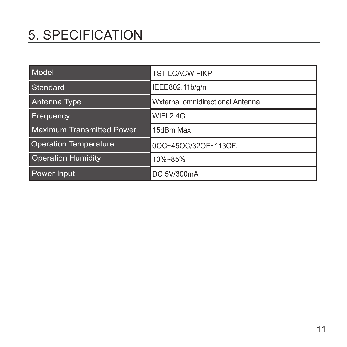# 5. SPECIFICATION

| Model                            | <b>TST-LCACWIFIKP</b>            |
|----------------------------------|----------------------------------|
| Standard                         | IEEE802.11b/g/n                  |
| Antenna Type                     | Wxternal omnidirectional Antenna |
| <b>Frequency</b>                 | <b>WIFL2.4G</b>                  |
| <b>Maximum Transmitted Power</b> | 15dBm Max                        |
| <b>Operation Temperature</b>     | 0OC~45OC/32OF~113OF.             |
| <b>Operation Humidity</b>        | 10%~85%                          |
| Power Input                      | DC 5V/300mA                      |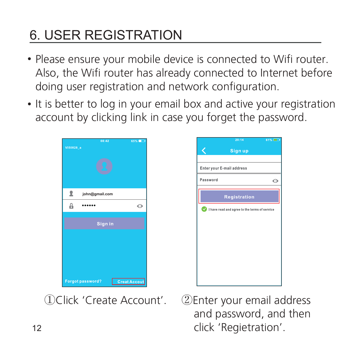# 6. USER REGISTRATION

- Please ensure your mobile device is connected to Wifi router. Also, the Wifi router has already connected to Internet before doing user registration and network configuration.
- It is better to log in your email box and active your registration account by clicking link in case you forget the password.





①Click 'Create Account'. ②Enter your email address and password, and then click 'Regietration'.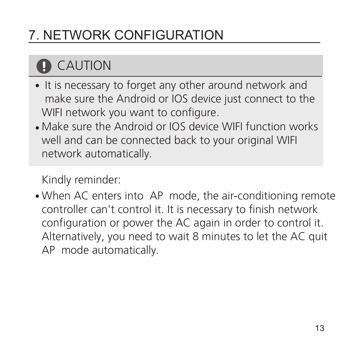# **D** CAUTION

- It is necessary to forget any other around network and make sure the Android or IOS device just connect to the WIFI network you want to configure.
- Make sure the Android or IOS device WIFI function works well and can be connected back to your original WIFI network automatically.

Kindly reminder:

• When AC enters into AP mode, the air-conditioning remote controller can't control it. It is necessary to finish network configuration or power the AC again in order to control it. Alternatively, you need to wait 8 minutes to let the AC quit AP mode automatically.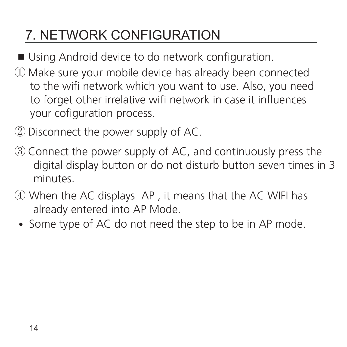- Using Android device to do network configuration.
- ① Make sure your mobile device has already been connected to the wifi network which you want to use. Also, you need to forget other irrelative wifi network in case it influences your cofiguration process.
- ② Disconnect the power supply of AC.
- ③ Connect the power supply of AC, and continuously press the digital display button or do not disturb button seven times in 3 minutes.
- ④ When the AC displays AP , it means that the AC WIFI has already entered into AP Mode.
- Some type of AC do not need the step to be in AP mode.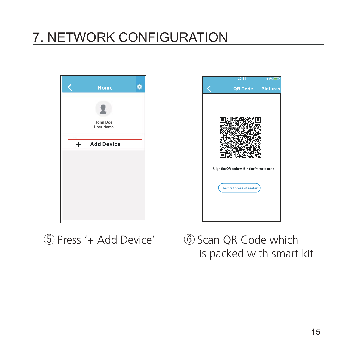



⑤ Press '+ Add Device' ⑥ Scan QR Code which is packed with smart kit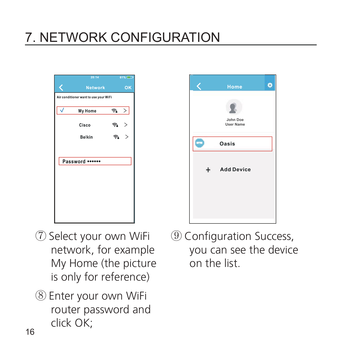



⑧ Enter your own WiFi router password and click OK;



⑨ Configuration Success, you can see the device on the list.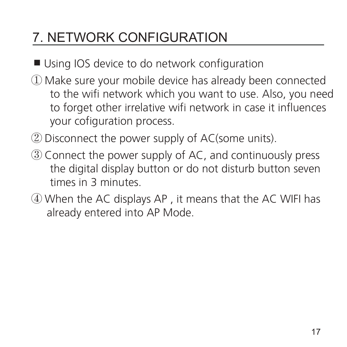- Using IOS device to do network configuration
- ① Make sure your mobile device has already been connected to the wifi network which you want to use. Also, you need to forget other irrelative wifi network in case it influences your cofiguration process.
- ② Disconnect the power supply of AC(some units).
- ③ Connect the power supply of AC, and continuously press the digital display button or do not disturb button seven times in 3 minutes.
- ④ When the AC displays AP , it means that the AC WIFI has already entered into AP Mode.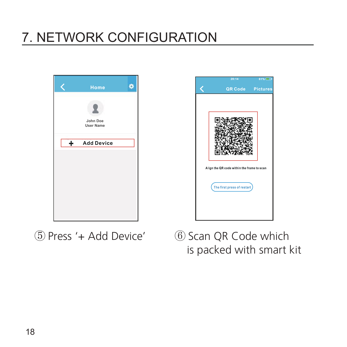



⑤ Press '+ Add Device' ⑥ Scan QR Code which is packed with smart kit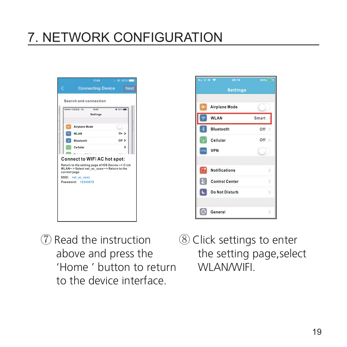| 49444 (1203) 30-<br><b>MEGO</b><br><b>Settings</b>                                                                                                      | <b>W. R216, MMT</b> |
|---------------------------------------------------------------------------------------------------------------------------------------------------------|---------------------|
| Airplane Mode                                                                                                                                           |                     |
| <b>WLAN</b>                                                                                                                                             | On >                |
| <b>Bluetooth</b>                                                                                                                                        | $OIII$ $>$          |
| Cellular                                                                                                                                                | 5                   |
| $-14444414$<br><b>Connect to WIFI AC hot spot:</b>                                                                                                      |                     |
| Return to the setting page of IOS Device-> Click<br>WLAN->Select net ac xxxx->Return to the<br>current page.<br>SSID: net ac xxxx<br>Password: 12345678 |                     |



- ⑦ Read the instruction above and press the 'Home ' button to return to the device interface.
	- ⑧ Click settings to enter the setting page,select WI AN/WIFI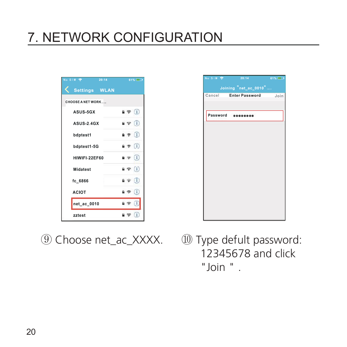| No SIM <sup>®</sup> | 20:14 | 61%                                     |
|---------------------|-------|-----------------------------------------|
| Settings WLAN       |       |                                         |
| CHOOSE A NET WORK   |       |                                         |
| <b>ASUS-5GX</b>     |       | $\bullet$ $\circ$ $\bullet$ $\bullet$   |
| ASUS 2.4GX          |       | $\bullet$ $\bullet$ $\bullet$           |
| bdptest1            |       | $\bullet$ $\bullet$ $\bullet$ $\bullet$ |
| bdptest1-5G         |       | $\bullet$ $\bullet$ (i)                 |
| HIWIFI-22EF60       |       | $\bullet \in \{1\}$                     |
| <b>Midatest</b>     |       | $B \nabla (1)$                          |
| fc_6866             |       | $\bullet \circ 1$                       |
| <b>ACIOT</b>        |       | 9 8 1                                   |
| net_ac_0010         |       | 日常                                      |
| zztest              |       | $\bullet$ $\circ$ $\circ$ $\circ$       |



| No SIM <b>P</b> | 20:14                 | 61%  |
|-----------------|-----------------------|------|
|                 | Joining "net_ac_0010" |      |
| Cancel          | <b>Enter Password</b> | Join |
|                 |                       |      |
| Password        |                       |      |
|                 |                       |      |
|                 |                       |      |
|                 |                       |      |
|                 |                       |      |
|                 |                       |      |
|                 |                       |      |
|                 |                       |      |
|                 |                       |      |
|                 |                       |      |
|                 |                       |      |
|                 |                       |      |

 12345678 and click "Join " .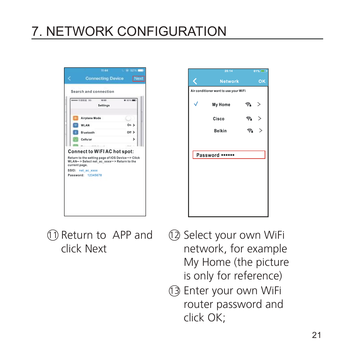| Airplane Mode<br>On ><br>WI AN<br>$011$ $>$<br>Bluetooth<br>Cellular<br>><br>$-444.41$<br><b>Connect to WIFIAC hot spot:</b><br>Return to the setting page of IOS Device-> Click<br>WLAN-> Select net ac xxxx-> Return to the | Settings      | <b>M 8216.000</b> |
|-------------------------------------------------------------------------------------------------------------------------------------------------------------------------------------------------------------------------------|---------------|-------------------|
|                                                                                                                                                                                                                               |               |                   |
|                                                                                                                                                                                                                               |               |                   |
|                                                                                                                                                                                                                               |               |                   |
|                                                                                                                                                                                                                               |               |                   |
|                                                                                                                                                                                                                               | current page. |                   |
| SSID: net ac xxxx                                                                                                                                                                                                             |               |                   |



11 Return to APP and click Next

- 12 Select your own WiFi network, for example My Home (the picture is only for reference)
- Enter your own WiFi 13 router password and click OK;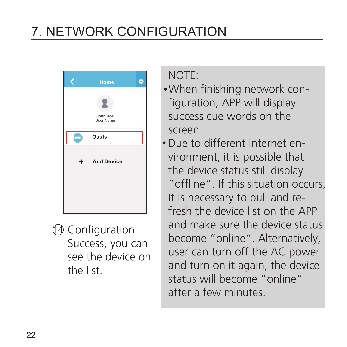

Configuration 14 Success, you can see the device on the list.

NOTE:

- When finishing network configuration, APP will display success cue words on the screen.
- Due to different internet environment, it is possible that the device status still display "offline". If this situation occurs, it is necessary to pull and refresh the device list on the APP and make sure the device status become "online". Alternatively, user can turn off the AC power and turn on it again, the device status will become "online" after a few minutes.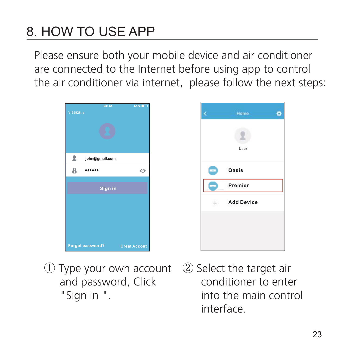# 8. HOW TO USE APP

Please ensure both your mobile device and air conditioner are connected to the Internet before using app to control the air conditioner via internet, please follow the next steps:





- ① Type your own account ② Select the target air and password, Click "Sign in ".
- conditioner to enter into the main control interface.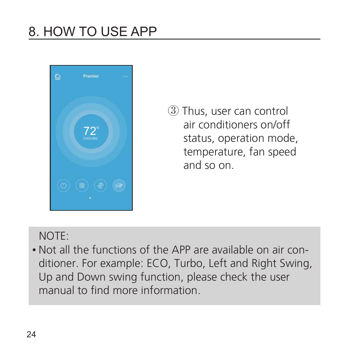

③ Thus, user can control air conditioners on/off status, operation mode, temperature, fan speed and so on.

#### NOTE:

Not all the functions of the APP are available on air conditioner. For example: ECO, Turbo, Left and Right Swing, Up and Down swing function, please check the user manual to find more information.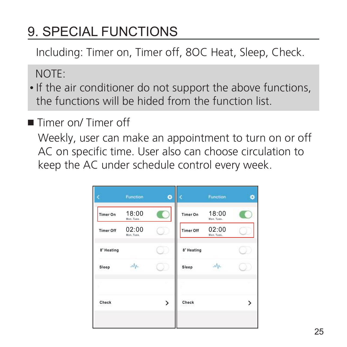Including: Timer on, Timer off, 8OC Heat, Sleep, Check.

NOTE:

- If the air conditioner do not support the above functions, the functions will be hided from the function list.
- Timer on/ Timer off

Weekly, user can make an appointment to turn on or off AC on specific time. User also can choose circulation to keep the AC under schedule control every week.

|                  | Function            | ٥ |                  | Function            | ٠ |
|------------------|---------------------|---|------------------|---------------------|---|
| <b>Timer On</b>  | 18:00<br>Mon. Tues. |   | <b>Timer On</b>  | 18:00<br>Mon. Tues. |   |
| <b>Timer Off</b> | 02:00<br>Mon, Tues, |   | <b>Timer Off</b> | 02:00<br>Mon, Tues, |   |
| 8° Heating       |                     |   | 8° Heating       |                     |   |
| Sleep            | Nr                  |   | Sleep            | $M_{\rm A}$         |   |
|                  |                     |   |                  |                     |   |
| Check            |                     | > | Check            |                     | ⋗ |
|                  |                     |   |                  |                     |   |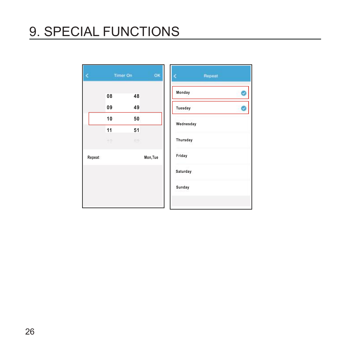|        |          | <b>Timer On</b> | OK       | Repeat    |  |
|--------|----------|-----------------|----------|-----------|--|
|        | 08       | 48              |          | Monday    |  |
|        | 09       | 49              |          | Tuesday   |  |
|        | 10<br>11 | 50<br>51        |          | Wednesday |  |
|        | 10       | Ξö              |          | Thursday  |  |
| Repeat |          |                 | Mon, Tue | Friday    |  |
|        |          |                 |          | Saturday  |  |
|        |          |                 |          | Sunday    |  |
|        |          |                 |          |           |  |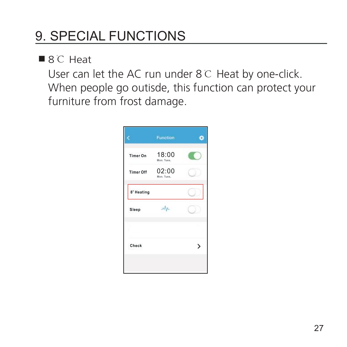■8℃ Heat

User can let the AC run under 8℃ Heat by one-click. When people go outisde, this function can protect your furniture from frost damage.

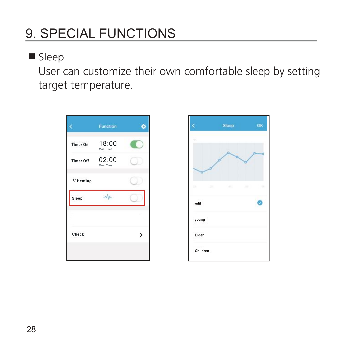#### **Sleep**

User can customize their own comfortable sleep by setting target temperature.



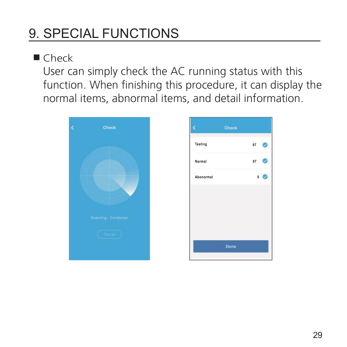Check

User can simply check the AC running status with this function. When finishing this procedure, it can display the normal items, abnormal items, and detail information.



|                         | Check           |
|-------------------------|-----------------|
| Testing                 | $97^{\circ}$    |
| Normal                  | 97              |
| $\sim$ 122<br>Abonormal | $\circ$ $\circ$ |
|                         |                 |
|                         |                 |
|                         |                 |
|                         |                 |
|                         | Done            |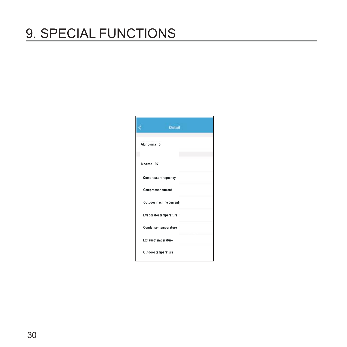|            | <b>Detail</b>               |  |
|------------|-----------------------------|--|
| Abnormal:0 |                             |  |
| Normal:97  |                             |  |
|            | <b>Compressor frequency</b> |  |
|            | Compressor current          |  |
|            | Outdoor machine current:    |  |
|            | Evaporator temperature      |  |
|            | Condenser temperature       |  |
|            | <b>Exhaust temperature</b>  |  |
|            | Outdoor temperature         |  |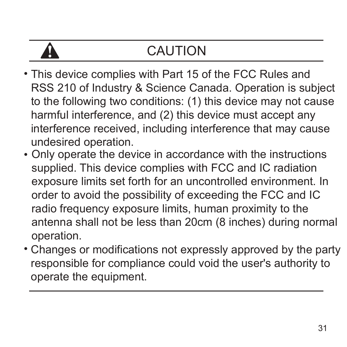## CAUTION

- This device complies with Part 15 of the FCC Rules and RSS 210 of Industry & Science Canada. Operation is subject to the following two conditions: (1) this device may not cause harmful interference, and (2) this device must accept any interference received, including interference that may cause undesired operation.
- Only operate the device in accordance with the instructions supplied. This device complies with FCC and IC radiation exposure limits set forth for an uncontrolled environment. In order to avoid the possibility of exceeding the FCC and IC radio frequency exposure limits, human proximity to the antenna shall not be less than 20cm (8 inches) during normal operation.
- Changes or modifications not expressly approved by the party responsible for compliance could void the user's authority to operate the equipment.